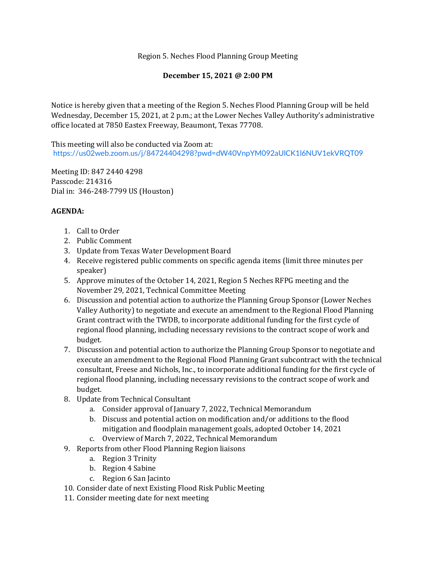Region 5. Neches Flood Planning Group Meeting

## **December 15, 2021 @ 2:00 PM**

Notice is hereby given that a meeting of the Region 5. Neches Flood Planning Group will be held Wednesday, December 15, 2021, at 2 p.m.; at the Lower Neches Valley Authority's administrative office located at 7850 Eastex Freeway, Beaumont, Texas 77708.

This meeting will also be conducted via Zoom at: <https://us02web.zoom.us/j/84724404298?pwd=dW40VnpYM092aUlCK1l6NUV1ekVRQT09>

Meeting ID: 847 2440 4298 Passcode: 214316 Dial in: 346-248-7799 US (Houston)

## **AGENDA:**

- 1. Call to Order
- 2. Public Comment
- 3. Update from Texas Water Development Board
- 4. Receive registered public comments on specific agenda items (limit three minutes per speaker)
- 5. Approve minutes of the October 14, 2021, Region 5 Neches RFPG meeting and the November 29, 2021, Technical Committee Meeting
- 6. Discussion and potential action to authorize the Planning Group Sponsor (Lower Neches Valley Authority) to negotiate and execute an amendment to the Regional Flood Planning Grant contract with the TWDB, to incorporate additional funding for the first cycle of regional flood planning, including necessary revisions to the contract scope of work and budget.
- 7. Discussion and potential action to authorize the Planning Group Sponsor to negotiate and execute an amendment to the Regional Flood Planning Grant subcontract with the technical consultant, Freese and Nichols, Inc., to incorporate additional funding for the first cycle of regional flood planning, including necessary revisions to the contract scope of work and budget.
- 8. Update from Technical Consultant
	- a. Consider approval of January 7, 2022, Technical Memorandum
	- b. Discuss and potential action on modification and/or additions to the flood mitigation and floodplain management goals, adopted October 14, 2021
	- c. Overview of March 7, 2022, Technical Memorandum
- 9. Reports from other Flood Planning Region liaisons
	- a. Region 3 Trinity
	- b. Region 4 Sabine
	- c. Region 6 San Jacinto
- 10. Consider date of next Existing Flood Risk Public Meeting
- 11. Consider meeting date for next meeting